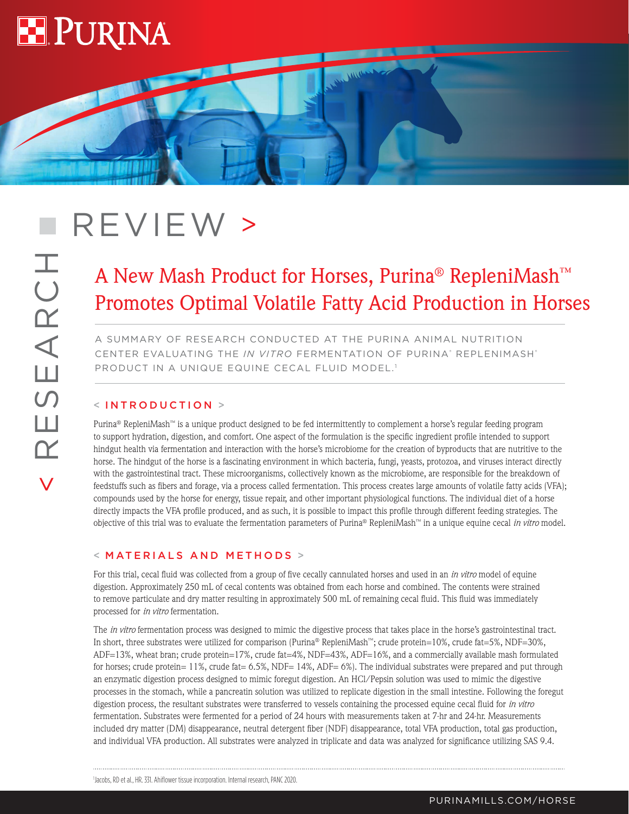

# REVIEW >

## A New Mash Product for Horses, Purina® RepleniMash™ Promotes Optimal Volatile Fatty Acid Production in Horses

**WALLAND** 

A SUMMARY OF RESEARCH CONDUCTED AT THE PURINA ANIMAL NUTRITION CENTER EVALUATING THE *IN VITRO* FERMENTATION OF PURINA<sup>®</sup> REPLENIMASH® PRODUCT IN A UNIQUE EQUINE CECAL FLUID MODEL.<sup>1</sup>

#### < INTRODUCTION >

Purina® RepleniMash™ is a unique product designed to be fed intermittently to complement a horse's regular feeding program to support hydration, digestion, and comfort. One aspect of the formulation is the specific ingredient profile intended to support hindgut health via fermentation and interaction with the horse's microbiome for the creation of byproducts that are nutritive to the horse. The hindgut of the horse is a fascinating environment in which bacteria, fungi, yeasts, protozoa, and viruses interact directly with the gastrointestinal tract. These microorganisms, collectively known as the microbiome, are responsible for the breakdown of feedstuffs such as fibers and forage, via a process called fermentation. This process creates large amounts of volatile fatty acids (VFA); compounds used by the horse for energy, tissue repair, and other important physiological functions. The individual diet of a horse directly impacts the VFA profile produced, and as such, it is possible to impact this profile through different feeding strategies. The objective of this trial was to evaluate the fermentation parameters of Purina® RepleniMash™ in a unique equine cecal *in vitro* model.

#### < MATERIALS AND METHODS >

For this trial, cecal fluid was collected from a group of five cecally cannulated horses and used in an *in vitro* model of equine digestion. Approximately 250 mL of cecal contents was obtained from each horse and combined. The contents were strained to remove particulate and dry matter resulting in approximately 500 mL of remaining cecal fluid. This fluid was immediately processed for *in vitro* fermentation.

The *in vitro* fermentation process was designed to mimic the digestive process that takes place in the horse's gastrointestinal tract. In short, three substrates were utilized for comparison (Purina® RepleniMash™; crude protein=10%, crude fat=5%, NDF=30%, ADF=13%, wheat bran; crude protein=17%, crude fat=4%, NDF=43%, ADF=16%, and a commercially available mash formulated for horses; crude protein=  $11\%$ , crude fat=  $6.5\%$ , NDF=  $14\%$ , ADF=  $6\%$ ). The individual substrates were prepared and put through an enzymatic digestion process designed to mimic foregut digestion. An HCl/Pepsin solution was used to mimic the digestive processes in the stomach, while a pancreatin solution was utilized to replicate digestion in the small intestine. Following the foregut digestion process, the resultant substrates were transferred to vessels containing the processed equine cecal fluid for *in vitro* fermentation. Substrates were fermented for a period of 24 hours with measurements taken at 7-hr and 24-hr. Measurements included dry matter (DM) disappearance, neutral detergent fiber (NDF) disappearance, total VFA production, total gas production, and individual VFA production. All substrates were analyzed in triplicate and data was analyzed for significance utilizing SAS 9.4.